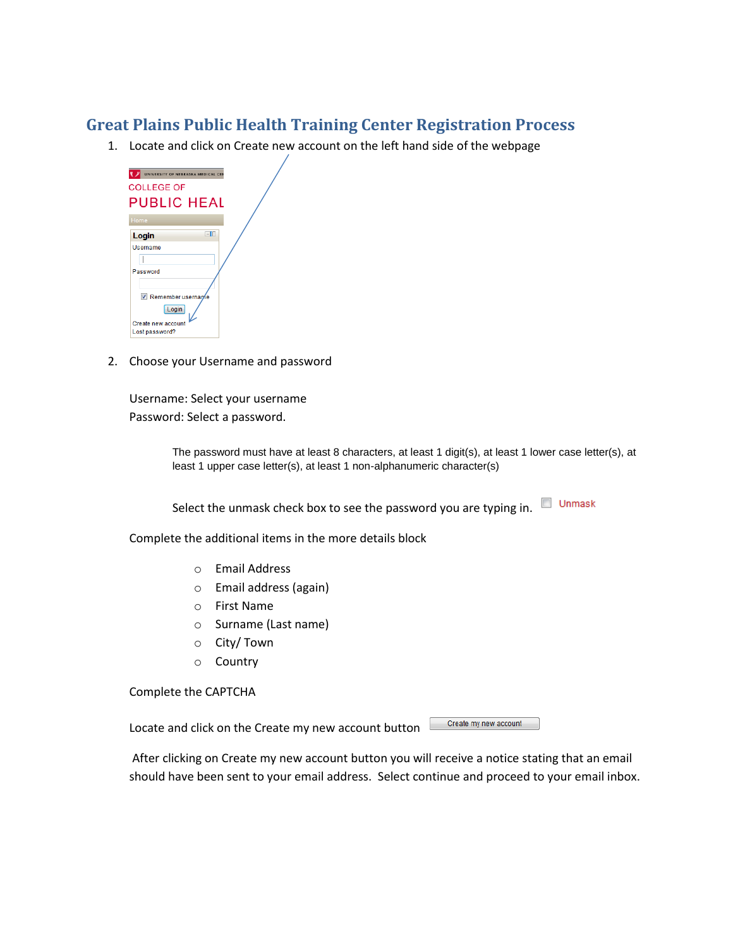## **Great Plains Public Health Training Center Registration Process**

1. Locate and click on Create new account on the left hand side of the webpage



2. Choose your Username and password

Username: Select your username Password: Select a password.

> The password must have at least 8 characters, at least 1 digit(s), at least 1 lower case letter(s), at least 1 upper case letter(s), at least 1 non-alphanumeric character(s)

Select the unmask check box to see the password you are typing in.  $\Box$  Unmask

Complete the additional items in the more details block

- o Email Address
- o Email address (again)
- o First Name
- o Surname (Last name)
- o City/ Town
- o Country

Complete the CAPTCHA

Locate and click on the Create my new account button

Create my new account

After clicking on Create my new account button you will receive a notice stating that an email should have been sent to your email address. Select continue and proceed to your email inbox.